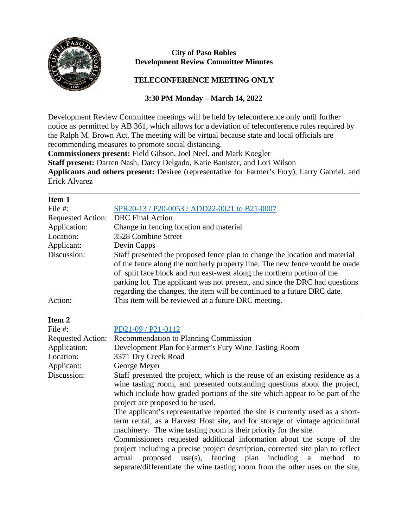

## **City of Paso Robles Development Review Committee Minutes**

## **TELECONFERENCE MEETING ONLY**

## **3:30 PM Monday – March 14, 2022**

Development Review Committee meetings will be held by teleconference only until further notice as permitted by AB 361, which allows for a deviation of teleconference rules required by the Ralph M. Brown Act. The meeting will be virtual because state and local officials are recommending measures to promote social distancing.

**Commissioners present:** Field Gibson, Joel Neel, and Mark Koegler

**Staff present:** Darren Nash, Darcy Delgado, Katie Banister, and Lori Wilson

**Applicants and others present:** Desiree (representative for Farmer's Fury), Larry Gabriel, and Erick Alvarez

| SPR20-13 / P20-0053 / ADD22-0021 to B21-0007<br><b>DRC</b> Final Action                                                                                                                                                                                                                                                                                                                                                                                                                                                                                                                                                                                                                                                                                                                                                                              |
|------------------------------------------------------------------------------------------------------------------------------------------------------------------------------------------------------------------------------------------------------------------------------------------------------------------------------------------------------------------------------------------------------------------------------------------------------------------------------------------------------------------------------------------------------------------------------------------------------------------------------------------------------------------------------------------------------------------------------------------------------------------------------------------------------------------------------------------------------|
|                                                                                                                                                                                                                                                                                                                                                                                                                                                                                                                                                                                                                                                                                                                                                                                                                                                      |
|                                                                                                                                                                                                                                                                                                                                                                                                                                                                                                                                                                                                                                                                                                                                                                                                                                                      |
|                                                                                                                                                                                                                                                                                                                                                                                                                                                                                                                                                                                                                                                                                                                                                                                                                                                      |
| Change in fencing location and material                                                                                                                                                                                                                                                                                                                                                                                                                                                                                                                                                                                                                                                                                                                                                                                                              |
| 3528 Combine Street                                                                                                                                                                                                                                                                                                                                                                                                                                                                                                                                                                                                                                                                                                                                                                                                                                  |
| Devin Capps                                                                                                                                                                                                                                                                                                                                                                                                                                                                                                                                                                                                                                                                                                                                                                                                                                          |
| Staff presented the proposed fence plan to change the location and material<br>of the fence along the northerly property line. The new fence would be made<br>of split face block and run east-west along the northern portion of the<br>parking lot. The applicant was not present, and since the DRC had questions<br>regarding the changes, the item will be continued to a future DRC date.                                                                                                                                                                                                                                                                                                                                                                                                                                                      |
| This item will be reviewed at a future DRC meeting.                                                                                                                                                                                                                                                                                                                                                                                                                                                                                                                                                                                                                                                                                                                                                                                                  |
|                                                                                                                                                                                                                                                                                                                                                                                                                                                                                                                                                                                                                                                                                                                                                                                                                                                      |
| PD21-09 / P21-0112                                                                                                                                                                                                                                                                                                                                                                                                                                                                                                                                                                                                                                                                                                                                                                                                                                   |
| Recommendation to Planning Commission                                                                                                                                                                                                                                                                                                                                                                                                                                                                                                                                                                                                                                                                                                                                                                                                                |
| Development Plan for Farmer's Fury Wine Tasting Room                                                                                                                                                                                                                                                                                                                                                                                                                                                                                                                                                                                                                                                                                                                                                                                                 |
| 3371 Dry Creek Road                                                                                                                                                                                                                                                                                                                                                                                                                                                                                                                                                                                                                                                                                                                                                                                                                                  |
| George Meyer                                                                                                                                                                                                                                                                                                                                                                                                                                                                                                                                                                                                                                                                                                                                                                                                                                         |
| Staff presented the project, which is the reuse of an existing residence as a<br>wine tasting room, and presented outstanding questions about the project,<br>which include how graded portions of the site which appear to be part of the<br>project are proposed to be used.<br>The applicant's representative reported the site is currently used as a short-<br>term rental, as a Harvest Host site, and for storage of vintage agricultural<br>machinery. The wine tasting room is their priority for the site.<br>Commissioners requested additional information about the scope of the<br>project including a precise project description, corrected site plan to reflect<br>fencing plan including<br>proposed<br>$use(s)$ ,<br>a<br>actual<br>method<br>to<br>separate/differentiate the wine tasting room from the other uses on the site, |
|                                                                                                                                                                                                                                                                                                                                                                                                                                                                                                                                                                                                                                                                                                                                                                                                                                                      |